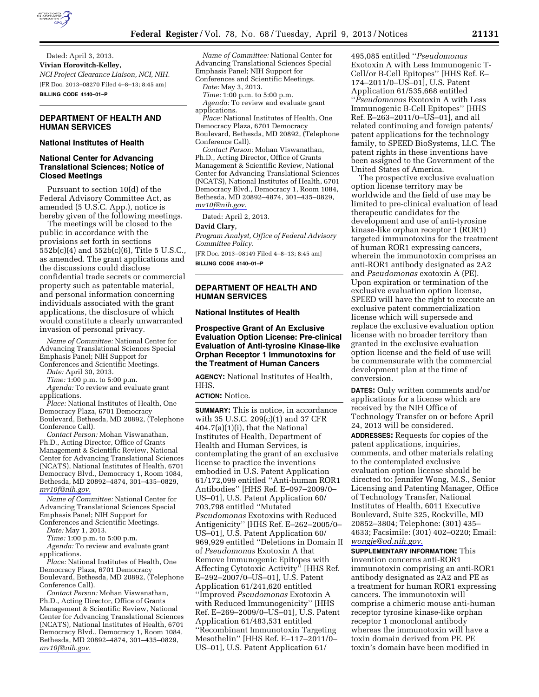

Dated: April 3, 2013. **Vivian Horovitch-Kelley,**  *NCI Project Clearance Liaison, NCI, NIH.*  [FR Doc. 2013–08270 Filed 4–8–13; 8:45 am] **BILLING CODE 4140–01–P** 

## **DEPARTMENT OF HEALTH AND HUMAN SERVICES**

### **National Institutes of Health**

# **National Center for Advancing Translational Sciences; Notice of Closed Meetings**

Pursuant to section 10(d) of the Federal Advisory Committee Act, as amended (5 U.S.C. App.), notice is hereby given of the following meetings.

The meetings will be closed to the public in accordance with the provisions set forth in sections 552b(c)(4) and 552b(c)(6), Title 5 U.S.C., as amended. The grant applications and the discussions could disclose confidential trade secrets or commercial property such as patentable material, and personal information concerning individuals associated with the grant applications, the disclosure of which would constitute a clearly unwarranted invasion of personal privacy.

*Name of Committee:* National Center for Advancing Translational Sciences Special Emphasis Panel; NIH Support for Conferences and Scientific Meetings.

*Date:* April 30, 2013.

*Time:* 1:00 p.m. to 5:00 p.m.

*Agenda:* To review and evaluate grant applications.

*Place:* National Institutes of Health, One Democracy Plaza, 6701 Democracy Boulevard, Bethesda, MD 20892, (Telephone Conference Call).

*Contact Person:* Mohan Viswanathan, Ph.D., Acting Director, Office of Grants Management & Scientific Review, National Center for Advancing Translational Sciences (NCATS), National Institutes of Health, 6701 Democracy Blvd., Democracy 1, Room 1084, Bethesda, MD 20892–4874, 301–435–0829, *[mv10f@nih.gov.](mailto:mv10f@nih.gov)* 

*Name of Committee:* National Center for Advancing Translational Sciences Special Emphasis Panel; NIH Support for Conferences and Scientific Meetings.

*Date:* May 1, 2013.

*Time:* 1:00 p.m. to 5:00 p.m.

*Agenda:* To review and evaluate grant applications.

*Place:* National Institutes of Health, One Democracy Plaza, 6701 Democracy Boulevard, Bethesda, MD 20892, (Telephone Conference Call).

*Contact Person:* Mohan Viswanathan, Ph.D., Acting Director, Office of Grants Management & Scientific Review, National Center for Advancing Translational Sciences (NCATS), National Institutes of Health, 6701 Democracy Blvd., Democracy 1, Room 1084, Bethesda, MD 20892–4874, 301–435–0829, *[mv10f@nih.gov.](mailto:mv10f@nih.gov)* 

*Name of Committee:* National Center for Advancing Translational Sciences Special Emphasis Panel; NIH Support for Conferences and Scientific Meetings.

*Date:* May 3, 2013.

*Time:* 1:00 p.m. to 5:00 p.m.

*Agenda:* To review and evaluate grant applications.

*Place:* National Institutes of Health, One Democracy Plaza, 6701 Democracy Boulevard, Bethesda, MD 20892, (Telephone Conference Call).

*Contact Person:* Mohan Viswanathan, Ph.D., Acting Director, Office of Grants Management & Scientific Review, National Center for Advancing Translational Sciences (NCATS), National Institutes of Health, 6701 Democracy Blvd., Democracy 1, Room 1084, Bethesda, MD 20892–4874, 301–435–0829, *[mv10f@nih.gov.](mailto:mv10f@nih.gov)* 

Dated: April 2, 2013.

#### **David Clary,**

*Program Analyst, Office of Federal Advisory Committee Policy.* 

[FR Doc. 2013–08149 Filed 4–8–13; 8:45 am] **BILLING CODE 4140–01–P** 

### **DEPARTMENT OF HEALTH AND HUMAN SERVICES**

## **National Institutes of Health**

**Prospective Grant of An Exclusive Evaluation Option License: Pre-clinical Evaluation of Anti-tyrosine Kinase-like Orphan Receptor 1 Immunotoxins for the Treatment of Human Cancers** 

**AGENCY:** National Institutes of Health, HHS.

#### **ACTION:** Notice.

**SUMMARY:** This is notice, in accordance with 35 U.S.C. 209(c)(1) and 37 CFR 404.7(a)(1)(i), that the National Institutes of Health, Department of Health and Human Services, is contemplating the grant of an exclusive license to practice the inventions embodied in U.S. Patent Application 61/172,099 entitled ''Anti-human ROR1 Antibodies'' [HHS Ref. E–097–2009/0– US–01], U.S. Patent Application 60/ 703,798 entitled ''Mutated *Pseudomonas* Exotoxins with Reduced Antigenicity'' [HHS Ref. E–262–2005/0– US–01], U.S. Patent Application 60/ 969,929 entitled ''Deletions in Domain II of *Pseudomonas* Exotoxin A that Remove Immunogenic Epitopes with Affecting Cytotoxic Activity'' [HHS Ref. E–292–2007/0–US–01], U.S. Patent Application 61/241,620 entitled ''Improved *Pseudomonas* Exotoxin A with Reduced Immunogenicity'' [HHS Ref. E–269–2009/0–US–01], U.S. Patent Application 61/483,531 entitled ''Recombinant Immunotoxin Targeting Mesothelin'' [HHS Ref. E–117–2011/0– US–01], U.S. Patent Application 61/

495,085 entitled ''*Pseudomonas*  Exotoxin A with Less Immunogenic T-Cell/or B-Cell Epitopes'' [HHS Ref. E– 174–2011/0–US–01], U.S. Patent Application 61/535,668 entitled ''*Pseudomonas* Exotoxin A with Less Immunogenic B-Cell Epitopes'' [HHS Ref. E–263–2011/0–US–01], and all related continuing and foreign patents/ patent applications for the technology family, to SPEED BioSystems, LLC. The patent rights in these inventions have been assigned to the Government of the United States of America.

The prospective exclusive evaluation option license territory may be worldwide and the field of use may be limited to pre-clinical evaluation of lead therapeutic candidates for the development and use of anti-tyrosine kinase-like orphan receptor 1 (ROR1) targeted immunotoxins for the treatment of human ROR1 expressing cancers, wherein the immunotoxin comprises an anti-ROR1 antibody designated as 2A2 and *Pseudomonas* exotoxin A (PE). Upon expiration or termination of the exclusive evaluation option license, SPEED will have the right to execute an exclusive patent commercialization license which will supersede and replace the exclusive evaluation option license with no broader territory than granted in the exclusive evaluation option license and the field of use will be commensurate with the commercial development plan at the time of conversion.

**DATES:** Only written comments and/or applications for a license which are received by the NIH Office of Technology Transfer on or before April 24, 2013 will be considered. **ADDRESSES:** Requests for copies of the patent applications, inquiries, comments, and other materials relating to the contemplated exclusive evaluation option license should be directed to: Jennifer Wong, M.S., Senior Licensing and Patenting Manager, Office of Technology Transfer, National Institutes of Health, 6011 Executive Boulevard, Suite 325, Rockville, MD 20852–3804; Telephone: (301) 435– 4633; Facsimile: (301) 402–0220; Email: *[wongje@od.nih.gov.](mailto:wongje@od.nih.gov)* 

**SUPPLEMENTARY INFORMATION:** This invention concerns anti-ROR1 immunotoxin comprising an anti-ROR1 antibody designated as 2A2 and PE as a treatment for human ROR1 expressing cancers. The immunotoxin will comprise a chimeric mouse anti-human receptor tyrosine kinase-like orphan receptor 1 monoclonal antibody whereas the immunotoxin will have a toxin domain derived from PE. PE toxin's domain have been modified in